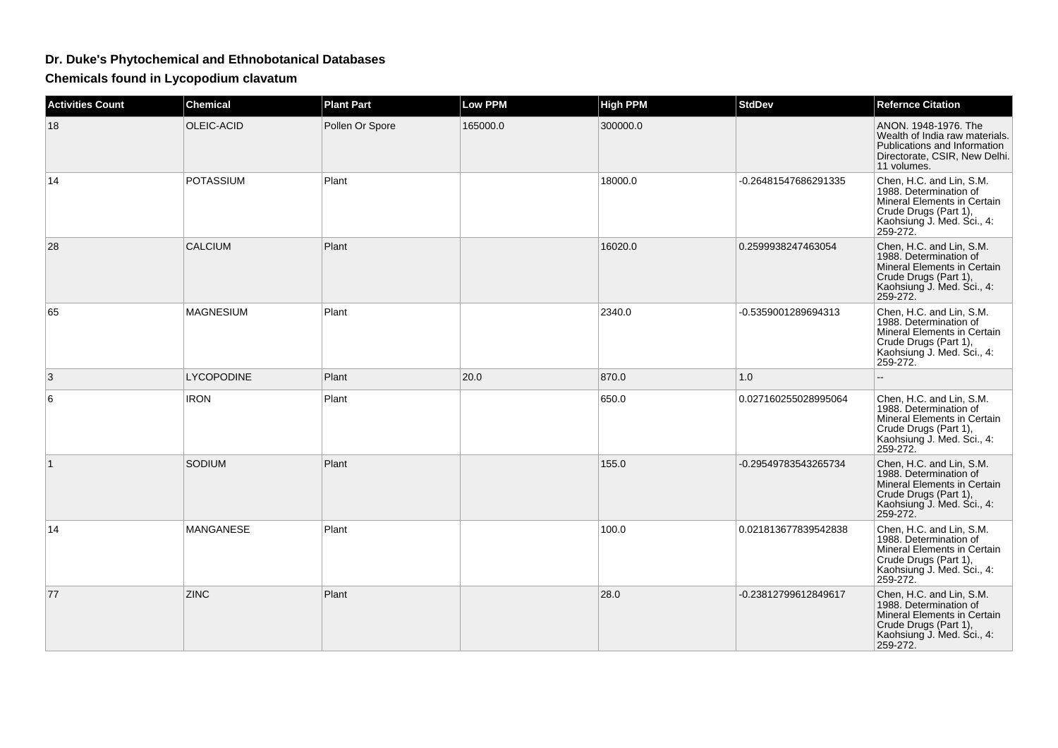## **Dr. Duke's Phytochemical and Ethnobotanical Databases**

**Chemicals found in Lycopodium clavatum**

| <b>Activities Count</b> | <b>Chemical</b>   | <b>Plant Part</b> | <b>Low PPM</b> | <b>High PPM</b> | <b>StdDev</b>        | <b>Refernce Citation</b>                                                                                                                             |
|-------------------------|-------------------|-------------------|----------------|-----------------|----------------------|------------------------------------------------------------------------------------------------------------------------------------------------------|
| 18                      | OLEIC-ACID        | Pollen Or Spore   | 165000.0       | 300000.0        |                      | ANON, 1948-1976. The<br>Wealth of India raw materials.<br>Publications and Information<br>Directorate, CSIR, New Delhi.<br>11 volumes.               |
| 14                      | <b>POTASSIUM</b>  | Plant             |                | 18000.0         | -0.26481547686291335 | Chen, H.C. and Lin, S.M.<br>1988. Determination of<br>Mineral Elements in Certain<br>Crude Drugs (Part 1),<br>Kaohsiung J. Med. Sci., 4:<br>259-272. |
| 28                      | <b>CALCIUM</b>    | Plant             |                | 16020.0         | 0.2599938247463054   | Chen, H.C. and Lin, S.M.<br>1988. Determination of<br>Mineral Elements in Certain<br>Crude Drugs (Part 1),<br>Kaohsiung J. Med. Sci., 4:<br>259-272. |
| 65                      | <b>MAGNESIUM</b>  | Plant             |                | 2340.0          | -0.5359001289694313  | Chen, H.C. and Lin, S.M.<br>1988. Determination of<br>Mineral Elements in Certain<br>Crude Drugs (Part 1),<br>Kaohsiung J. Med. Sci., 4:<br>259-272. |
| 3                       | <b>LYCOPODINE</b> | Plant             | 20.0           | 870.0           | 1.0                  | --                                                                                                                                                   |
| 6                       | <b>IRON</b>       | Plant             |                | 650.0           | 0.027160255028995064 | Chen, H.C. and Lin, S.M.<br>1988. Determination of<br>Mineral Elements in Certain<br>Crude Drugs (Part 1),<br>Kaohsiung J. Med. Sci., 4:<br>259-272. |
| $\mathbf{1}$            | SODIUM            | Plant             |                | 155.0           | -0.29549783543265734 | Chen, H.C. and Lin, S.M.<br>1988. Determination of<br>Mineral Elements in Certain<br>Crude Drugs (Part 1),<br>Kaohsiung J. Med. Sci., 4:<br>259-272. |
| 14                      | MANGANESE         | Plant             |                | 100.0           | 0.021813677839542838 | Chen, H.C. and Lin, S.M.<br>1988. Determination of<br>Mineral Elements in Certain<br>Crude Drugs (Part 1),<br>Kaohsiung J. Med. Sci., 4:<br>259-272. |
| 77                      | <b>ZINC</b>       | Plant             |                | 28.0            | -0.23812799612849617 | Chen, H.C. and Lin, S.M.<br>1988. Determination of<br>Mineral Elements in Certain<br>Crude Drugs (Part 1),<br>Kaohsiung J. Med. Sci., 4:<br>259-272. |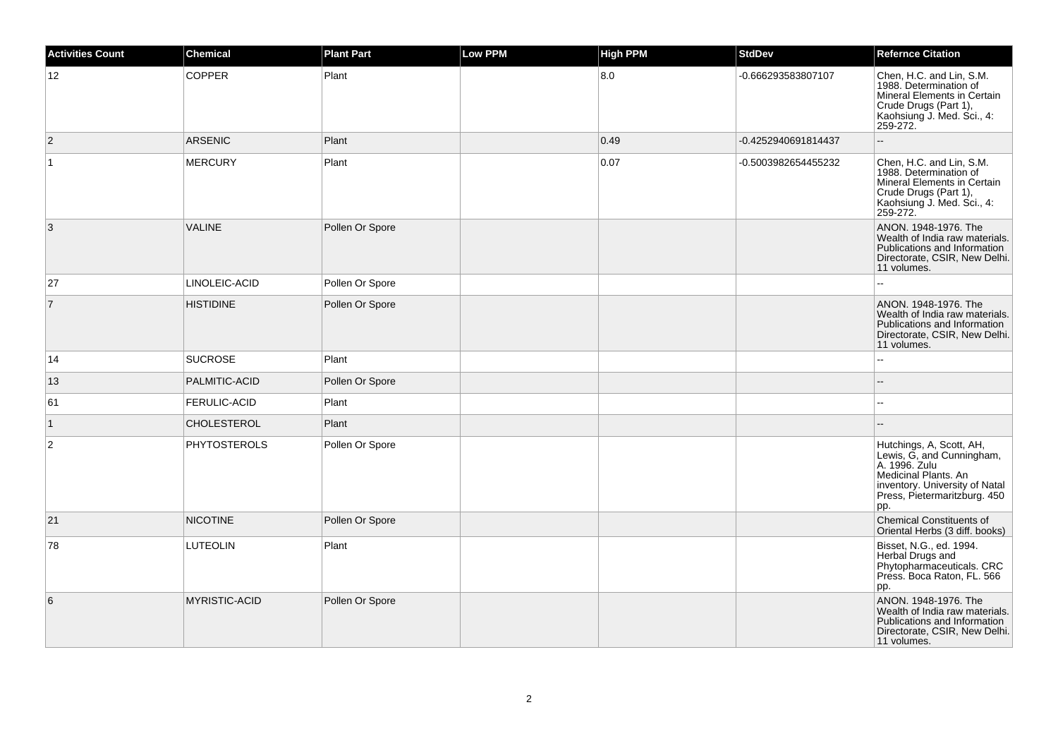| <b>Activities Count</b> | <b>Chemical</b>      | <b>Plant Part</b> | <b>Low PPM</b> | <b>High PPM</b> | <b>StdDev</b>       | <b>Refernce Citation</b>                                                                                                                                                |
|-------------------------|----------------------|-------------------|----------------|-----------------|---------------------|-------------------------------------------------------------------------------------------------------------------------------------------------------------------------|
| 12                      | <b>COPPER</b>        | Plant             |                | 8.0             | -0.666293583807107  | Chen, H.C. and Lin, S.M.<br>1988. Determination of<br>Mineral Elements in Certain<br>Crude Drugs (Part 1),<br>Kaohsiung J. Med. Sci., 4:<br>259-272.                    |
| $\overline{2}$          | <b>ARSENIC</b>       | Plant             |                | 0.49            | -0.4252940691814437 | $\overline{a}$                                                                                                                                                          |
| $\vert$ 1               | <b>MERCURY</b>       | Plant             |                | 0.07            | -0.5003982654455232 | Chen, H.C. and Lin, S.M.<br>1988. Determination of<br>Mineral Elements in Certain<br>Crude Drugs (Part 1),<br>Kaohsiung J. Med. Sci., 4:<br>259-272.                    |
| 3                       | <b>VALINE</b>        | Pollen Or Spore   |                |                 |                     | ANON. 1948-1976. The<br>Wealth of India raw materials.<br>Publications and Information<br>Directorate, CSIR, New Delhi.<br>11 volumes.                                  |
| 27                      | LINOLEIC-ACID        | Pollen Or Spore   |                |                 |                     |                                                                                                                                                                         |
| $\overline{7}$          | <b>HISTIDINE</b>     | Pollen Or Spore   |                |                 |                     | ANON. 1948-1976. The<br>Wealth of India raw materials.<br>Publications and Information<br>Directorate, CSIR, New Delhi.<br>11 volumes.                                  |
| 14                      | <b>SUCROSE</b>       | Plant             |                |                 |                     |                                                                                                                                                                         |
| 13                      | PALMITIC-ACID        | Pollen Or Spore   |                |                 |                     |                                                                                                                                                                         |
| 61                      | FERULIC-ACID         | Plant             |                |                 |                     | $\overline{a}$                                                                                                                                                          |
| $\vert$ 1               | CHOLESTEROL          | Plant             |                |                 |                     |                                                                                                                                                                         |
| $\sqrt{2}$              | <b>PHYTOSTEROLS</b>  | Pollen Or Spore   |                |                 |                     | Hutchings, A, Scott, AH,<br>Lewis, G, and Cunningham,<br>A. 1996. Zulu<br>Medicinal Plants. An<br>inventory. University of Natal<br>Press, Pietermaritzburg. 450<br>pp. |
| 21                      | <b>NICOTINE</b>      | Pollen Or Spore   |                |                 |                     | <b>Chemical Constituents of</b><br>Oriental Herbs (3 diff. books)                                                                                                       |
| 78                      | <b>LUTEOLIN</b>      | Plant             |                |                 |                     | Bisset, N.G., ed. 1994.<br>Herbal Drugs and<br>Phytopharmaceuticals. CRC<br>Press. Boca Raton, FL. 566<br>pp.                                                           |
| 6                       | <b>MYRISTIC-ACID</b> | Pollen Or Spore   |                |                 |                     | ANON. 1948-1976. The<br>Wealth of India raw materials.<br>Publications and Information<br>Directorate, CSIR, New Delhi.<br>11 volumes.                                  |